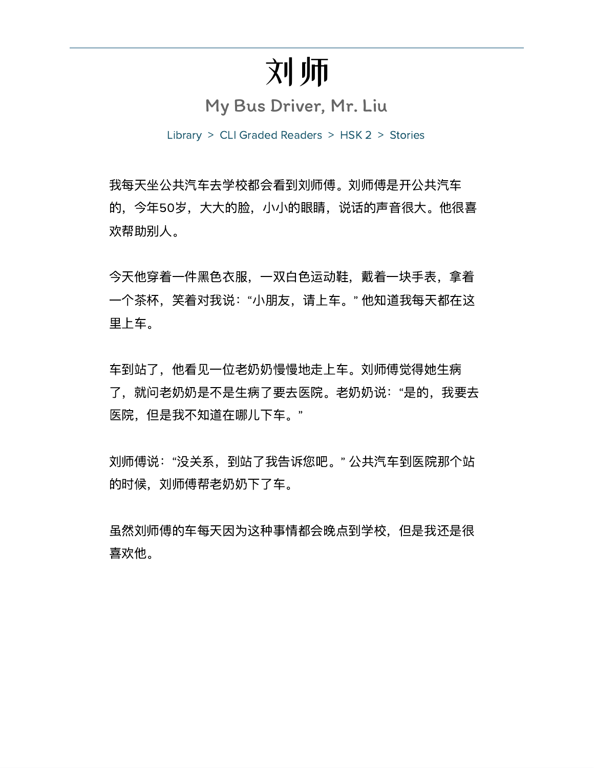# 刘师

My Bus Driver, Mr. Liu

Library > CLI Graded Readers > HSK 2 > Stories

我每天坐公共汽车去学校都会看到刘师傅。刘师傅是开公共汽车 的, 今年50岁, 大大的脸, 小小的眼睛, 说话的声音很大。他很喜 欢帮助别人。

今天他穿着一件黑色衣服,一双白色运动鞋,戴着一块手表,拿着 一个茶杯,笑着对我说:"小朋友,请上车。"他知道我每天都在这 里上车。

车到站了,他看见一位老奶奶慢慢地走上车。刘师傅觉得她生病 了, 就问老奶奶是不是生病了要去医院。老奶奶说: "是的, 我要去 医院,但是我不知道在哪儿下车。"

刘师傅说:"没关系,到站了我告诉您吧。" 公共汽车到医院那个站 的时候, 刘师傅帮老奶奶下了车。

虽然刘师傅的车每天因为这种事情都会晚点到学校,但是我还是很 喜欢他。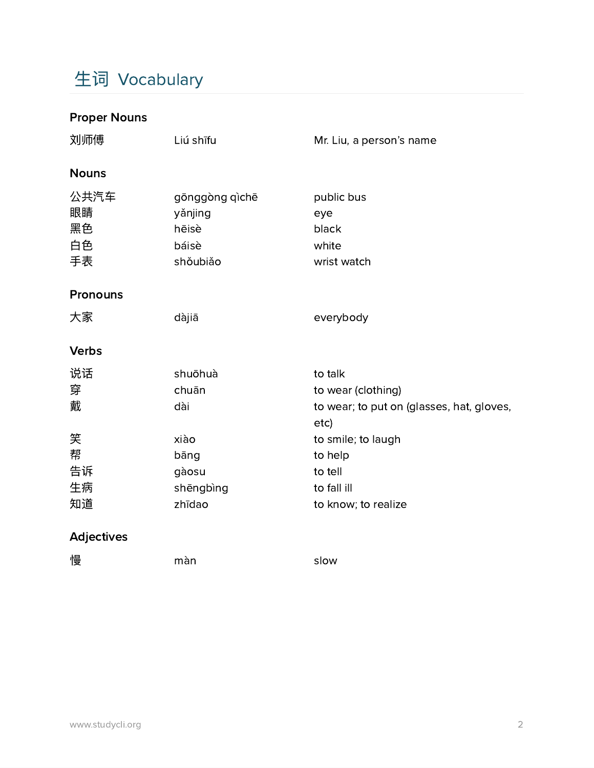# ⽣词 Vocabulary

### Proper Nouns

| 刘师傅                                      | Liú shīfu                                                               | Mr. Liu, a person's name                                                                                                                                             |
|------------------------------------------|-------------------------------------------------------------------------|----------------------------------------------------------------------------------------------------------------------------------------------------------------------|
| <b>Nouns</b>                             |                                                                         |                                                                                                                                                                      |
| 公共汽车<br>眼睛<br>黑色<br>白色<br>手表             | gōnggòng qìchē<br>yǎnjing<br>hēisè<br>báisè<br>shoubiǎo                 | public bus<br>eye<br>black<br>white<br>wrist watch                                                                                                                   |
| <b>Pronouns</b>                          |                                                                         |                                                                                                                                                                      |
| 大家                                       | dàjiā                                                                   | everybody                                                                                                                                                            |
| <b>Verbs</b>                             |                                                                         |                                                                                                                                                                      |
| 说话<br>穿<br>戴<br>笑<br>帮<br>告诉<br>生病<br>知道 | shuōhuà<br>chuān<br>dài<br>xiào<br>bāng<br>gàosu<br>shēngbìng<br>zhīdao | to talk<br>to wear (clothing)<br>to wear; to put on (glasses, hat, gloves,<br>etc)<br>to smile; to laugh<br>to help<br>to tell<br>to fall ill<br>to know; to realize |
| <b>Adjectives</b>                        |                                                                         |                                                                                                                                                                      |
| 慢                                        | màn                                                                     | slow                                                                                                                                                                 |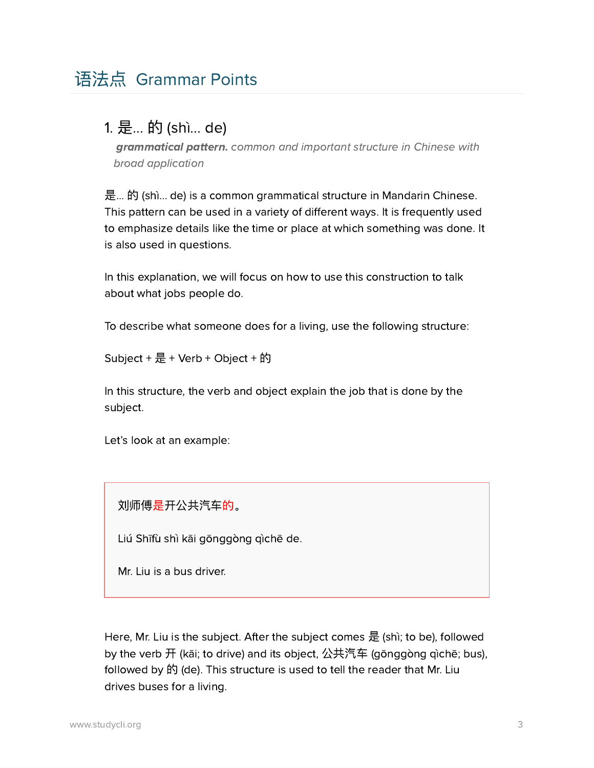#### 1. 是... 的 (shì... de)

grammatical pattern. common and important structure in Chinese with broad application

是... 的 (shì… de) is a common grammatical structure in Mandarin Chinese. This pattern can be used in a variety of different ways. It is frequently used to emphasize details like the time or place at which something was done. It is also used in questions.

In this explanation, we will focus on how to use this construction to talk about what jobs people do.

To describe what someone does for a living, use the following structure:

Subject +  $\frac{1}{2}$  + Verb + Object + 的

In this structure, the verb and object explain the job that is done by the subject.

Let's look at an example:

刘师傅是开公共汽车的。

Liú Shīfù shì kāi gōnggòng qìchē de.

Mr. Liu is a bus driver.

Here, Mr. Liu is the subject. After the subject comes 是 (shì; to be), followed by the verb 开 (kāi; to drive) and its object, 公共汽车 (gōnggòng gìchē; bus), followed by 的 (de). This structure is used to tell the reader that Mr. Liu drives buses for a living.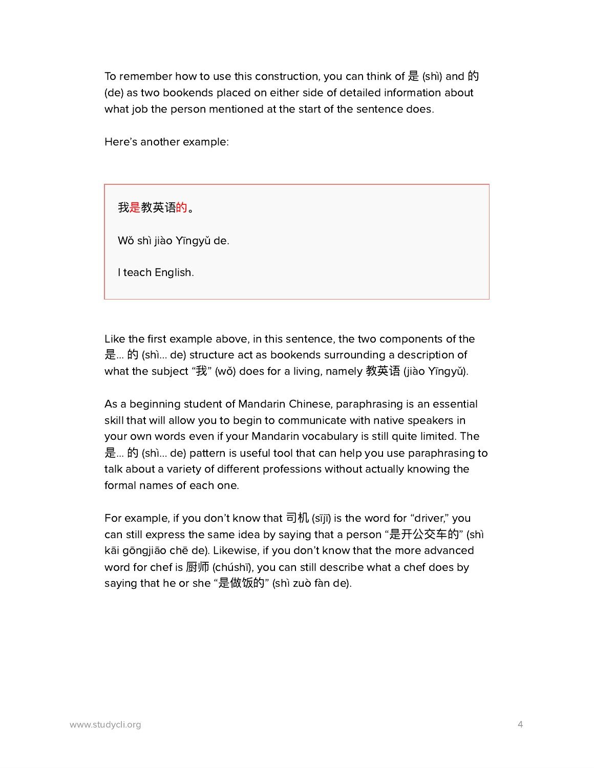To remember how to use this construction, you can think of 是 (shì) and 的 (de) as two bookends placed on either side of detailed information about what job the person mentioned at the start of the sentence does.

Here's another example:

我是教英语的。

Wǒ shì jiào Yīngyǔ de.

I teach English.

Like the first example above, in this sentence, the two components of the 是... 的 (shì… de) structure act as bookends surrounding a description of what the subject "我" (wǒ) does for a living, namely 教英语 (jiào Yīngyǔ).

As a beginning student of Mandarin Chinese, paraphrasing is an essential skill that will allow you to begin to communicate with native speakers in your own words even if your Mandarin vocabulary is still quite limited. The 是... 的 (shì… de) pattern is useful tool that can help you use paraphrasing to talk about a variety of different professions without actually knowing the formal names of each one.

For example, if you don't know that 司机 (sījī) is the word for "driver," you can still express the same idea by saying that a person "是开公交车的" (shì kāi gōngjiāo chē de). Likewise, if you don't know that the more advanced word for chef is 厨师 (chúshī), you can still describe what a chef does by saying that he or she "是做饭的" (shì zuò fàn de).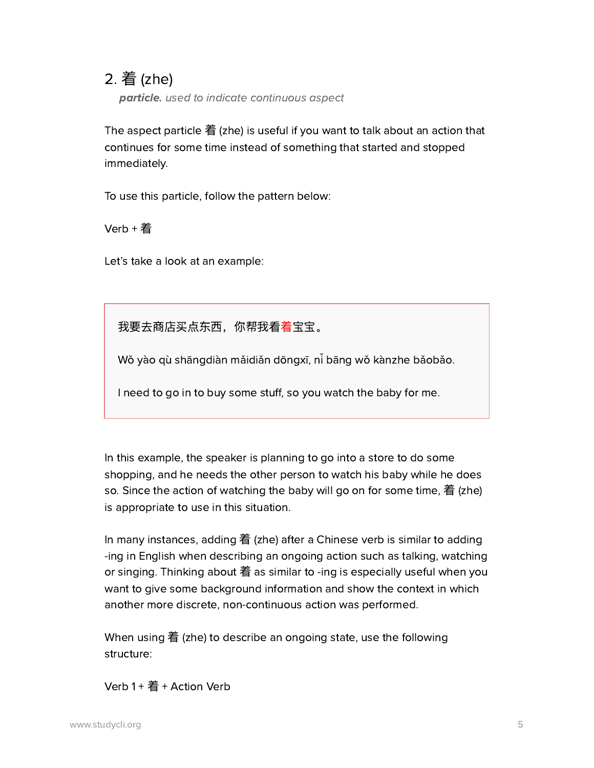#### 2. 着 (zhe)

particle. used to indicate continuous aspect

The aspect particle 着 (zhe) is useful if you want to talk about an action that continues for some time instead of something that started and stopped immediately.

To use this particle, follow the pattern below:

Verb + 着

Let's take a look at an example:

我要去商店买点东西,你帮我看着宝宝。

Wǒ yào qù shāngdiàn mǎidiǎn dōngxī, ni bāng wǒ kànzhe bǎobǎo.

I need to go in to buy some stuff, so you watch the baby for me.

In this example, the speaker is planning to go into a store to do some shopping, and he needs the other person to watch his baby while he does so. Since the action of watching the baby will go on for some time, 着 (zhe) is appropriate to use in this situation.

In many instances, adding 着 (zhe) after a Chinese verb is similar to adding -ing in English when describing an ongoing action such as talking, watching or singing. Thinking about 着 as similar to -ing is especially useful when you want to give some background information and show the context in which another more discrete, non-continuous action was performed.

When using 着 (zhe) to describe an ongoing state, use the following structure:

 $Verb 1 +  $\frac{2}{3}$  + Action Verb$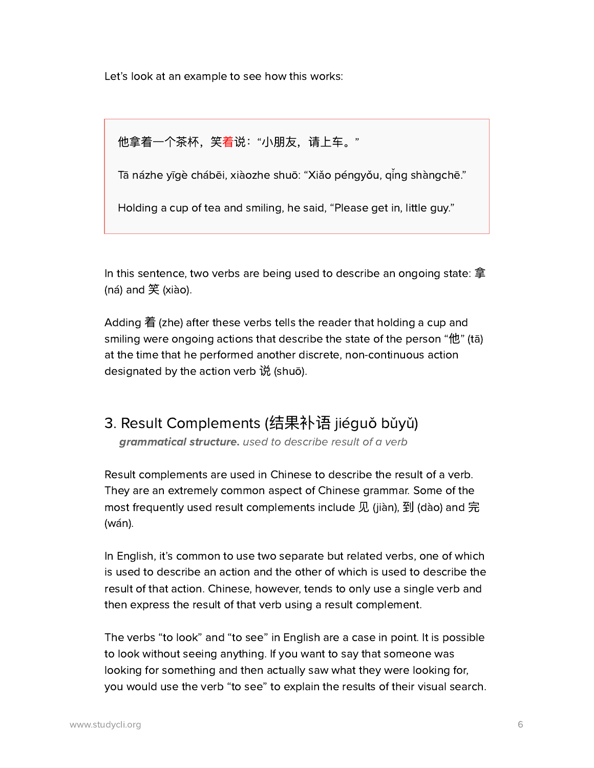Let's look at an example to see how this works:

他拿着一个茶杯,笑着说:"小朋友,请上车。"

Tā názhe yīgè chábēi, xiàozhe shuō: "Xiǎo péngyǒu, qing shàngchē."

Holding a cup of tea and smiling, he said, "Please get in, little guy."

In this sentence, two verbs are being used to describe an ongoing state: 拿 (ná) and 笑 (xiào).

Adding 着 (zhe) after these verbs tells the reader that holding a cup and smiling were ongoing actions that describe the state of the person "他" (tā) at the time that he performed another discrete, non-continuous action designated by the action verb 说 (shuō).

## 3. Result Complements (结果补语 jiéquǒ bǔyǔ)

grammatical structure. used to describe result of a verb

Result complements are used in Chinese to describe the result of a verb. They are an extremely common aspect of Chinese grammar. Some of the most frequently used result complements include 见 (jiàn), 到 (dào) and 完 (wán).

In English, it's common to use two separate but related verbs, one of which is used to describe an action and the other of which is used to describe the result of that action. Chinese, however, tends to only use a single verb and then express the result of that verb using a result complement.

The verbs "to look" and "to see" in English are a case in point. It is possible to look without seeing anything. If you want to say that someone was looking for something and then actually saw what they were looking for, you would use the verb "to see" to explain the results of their visual search.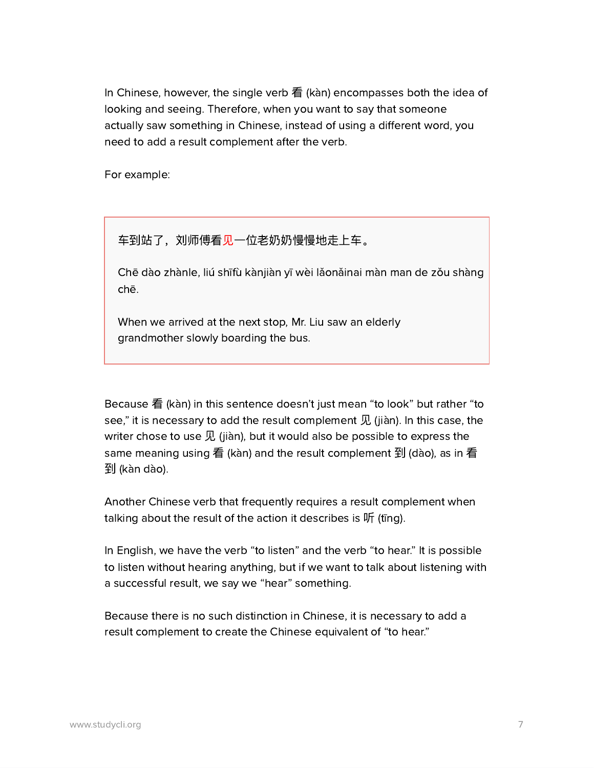In Chinese, however, the single verb 看 (kàn) encompasses both the idea of looking and seeing. Therefore, when you want to say that someone actually saw something in Chinese, instead of using a different word, you need to add a result complement after the verb.

For example:

车到站了,刘师傅看见一位老奶奶慢慢地走上车。

Chē dào zhànle, liú shīfù kànjiàn yī wèi lǎonǎinai màn man de zǒu shàng chē.

When we arrived at the next stop, Mr. Liu saw an elderly grandmother slowly boarding the bus.

Because 看 (kàn) in this sentence doesn't just mean "to look" but rather "to see," it is necessary to add the result complement  $\mathcal R$  (jiàn). In this case, the writer chose to use  $\mathcal R$  (jiàn), but it would also be possible to express the same meaning using 看 (kàn) and the result complement 到 (dào), as in 看 到 (kàn dào).

Another Chinese verb that frequently requires a result complement when talking about the result of the action it describes is 听 (tīng).

In English, we have the verb "to listen" and the verb "to hear." It is possible to listen without hearing anything, but if we want to talk about listening with a successful result, we say we "hear" something.

Because there is no such distinction in Chinese, it is necessary to add a result complement to create the Chinese equivalent of "to hear."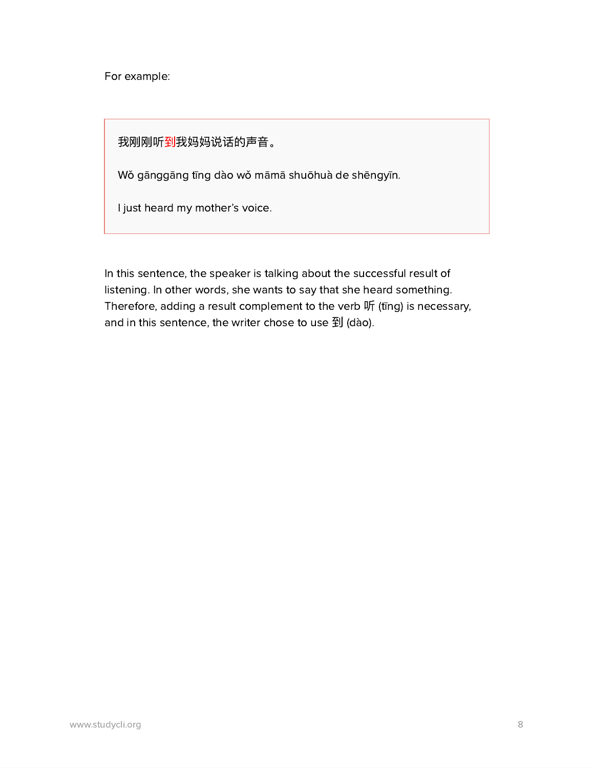For example:

我刚刚听到我妈妈说话的声音。

Wǒ gānggāng tīng dào wǒ māmā shuōhuà de shēngyīn.

I just heard my mother's voice.

In this sentence, the speaker is talking about the successful result of listening. In other words, she wants to say that she heard something. Therefore, adding a result complement to the verb 听 (tīng) is necessary, and in this sentence, the writer chose to use 到 (dào).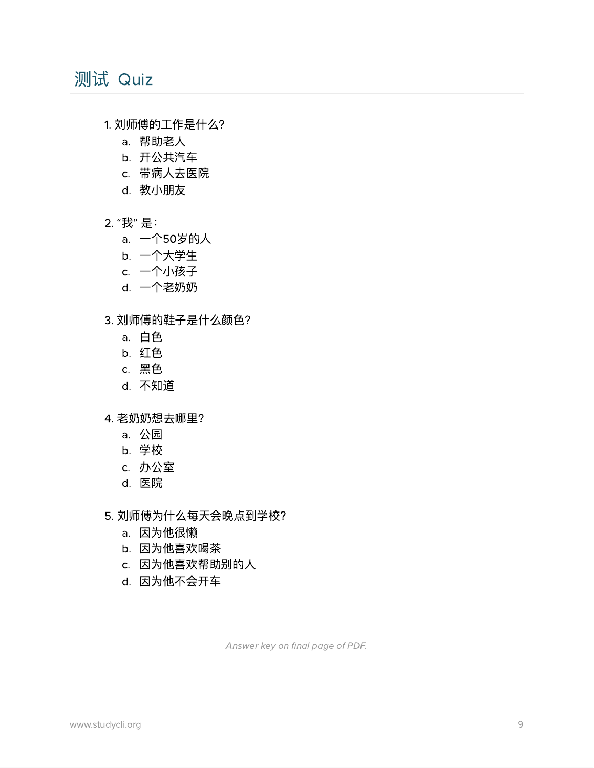## 测试 Quiz

- 1. 刘师傅的⼯作是什么?
	- a. 帮助老人
	- b. 开公共汽车
	- c. 带病⼈去医院
	- d. 教⼩朋友
- 2. "我" 是:
	- a. 一个50岁的人
	- b. ⼀个⼤学⽣
	- c. 一个小孩子
	- d. 一个老奶奶
- 3. 刘师傅的鞋子是什么颜色?
	- a. 白色
	- b. 红色
	- c. 黑色
	- d. 不知道
- 4. 老奶奶想去哪里?
	- a. 公园
	- b. 学校
	- c. 办公室
	- d. 医院
- 5. 刘师傅为什么每天会晚点到学校?
	- a. 因为他很懒
	- b. 因为他喜欢喝茶
	- c. 因为他喜欢帮助别的人
	- d. 因为他不会开车

Answer key on final page of PDF.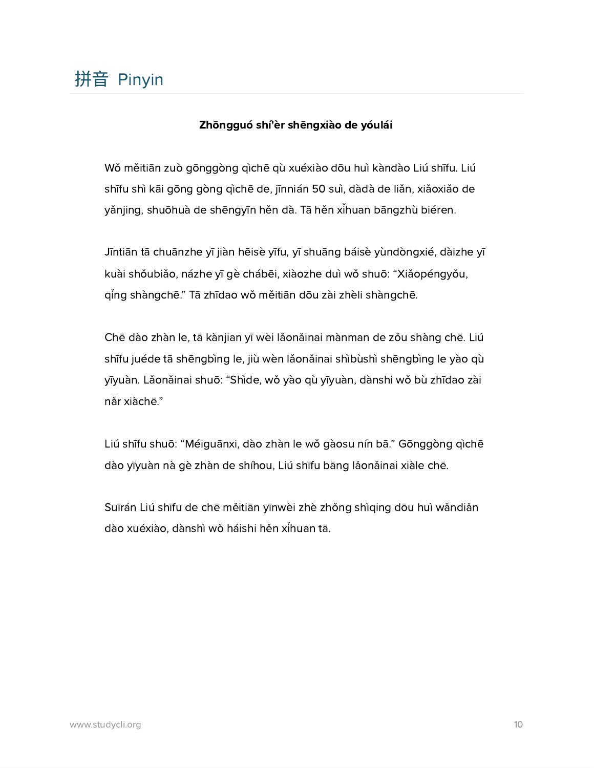#### Zhōngguó shí'èr shēngxiào de yóulái

Wo měitiān zuò gōnggòng qìchē qù xuéxiào dōu huì kàndào Liú shīfu. Liú shīfu shì kāi gōng gòng qìchē de, jīnnián 50 suì, dàdà de lian, xiaoxiao de yǎnjing, shuōhuà de shēngyīn hěn dà. Tā hěn xi̇̃huan bāngzhù biéren.

Jīntiān tā chuānzhe yī jiàn hēisè yīfu, yī shuāng báisè yùndòngxié, dàizhe yī kuài shŏubiǎo, názhe yī gè chábēi, xiàozhe duì wǒ shuō: "Xiǎopéngyǒu, qing shàngchē." Tā zhīdao wǒ měitiān dōu zài zhèli shàngchē.

Chē dào zhàn le, tā kànjian yī wèi lǎonǎinai mànman de zǒu shàng chē. Liú shīfu juéde tā shēngbìng le, jiù wèn lǎonǎinai shìbùshì shēngbìng le yào gù yīyuàn. Lǎonǎinai shuō: "Shìde, wǒ yào qù yīyuàn, dànshi wǒ bù zhīdao zài năr xiàchē."

Liú shīfu shuō: "Méiguānxi, dào zhàn le wǒ gàosu nín bā." Gōnggòng qìchē dào yīyuàn nà gè zhàn de shíhou, Liú shīfu bāng lǎonǎinai xiàle chē.

Suīrán Liú shīfu de chē měitiān yīnwèi zhè zhǒng shìqing dōu huì wǎndiǎn dào xuéxiào, dànshì wǒ háishi hěn xihuan tā.